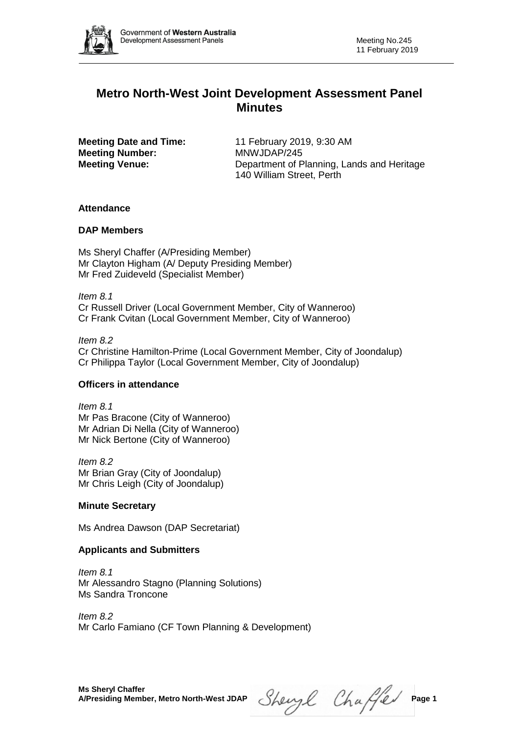

# **Metro North-West Joint Development Assessment Panel Minutes**

**Meeting Number:** MNWJDAP/245

**Meeting Date and Time:** 11 February 2019, 9:30 AM **Meeting Venue:** Department of Planning, Lands and Heritage 140 William Street, Perth

# **Attendance**

# **DAP Members**

Ms Sheryl Chaffer (A/Presiding Member) Mr Clayton Higham (A/ Deputy Presiding Member) Mr Fred Zuideveld (Specialist Member)

*Item 8.1* Cr Russell Driver (Local Government Member, City of Wanneroo) Cr Frank Cvitan (Local Government Member, City of Wanneroo)

### *Item 8.2*

Cr Christine Hamilton-Prime (Local Government Member, City of Joondalup) Cr Philippa Taylor (Local Government Member, City of Joondalup)

# **Officers in attendance**

*Item 8.1* Mr Pas Bracone (City of Wanneroo) Mr Adrian Di Nella (City of Wanneroo) Mr Nick Bertone (City of Wanneroo)

*Item 8.2* Mr Brian Gray (City of Joondalup) Mr Chris Leigh (City of Joondalup)

# **Minute Secretary**

Ms Andrea Dawson (DAP Secretariat)

# **Applicants and Submitters**

*Item 8.1* Mr Alessandro Stagno (Planning Solutions) Ms Sandra Troncone

*Item 8.2* Mr Carlo Famiano (CF Town Planning & Development)

 $Shewyl$  Chaffer Page 1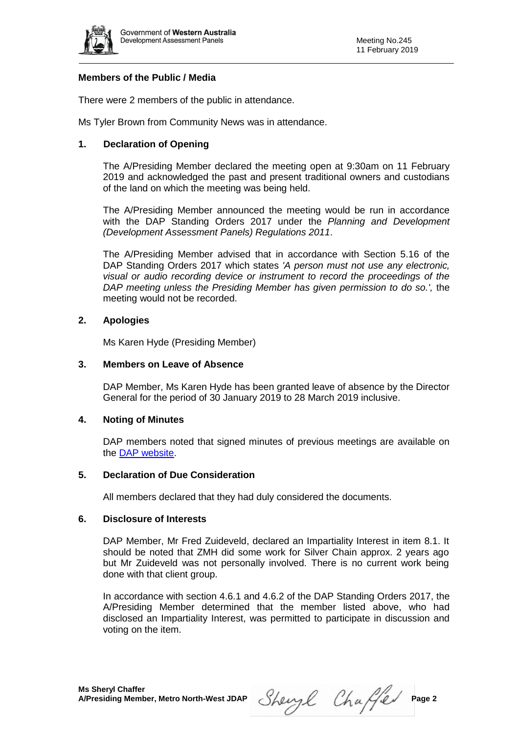

## **Members of the Public / Media**

There were 2 members of the public in attendance.

Ms Tyler Brown from Community News was in attendance.

# **1. Declaration of Opening**

The A/Presiding Member declared the meeting open at 9:30am on 11 February 2019 and acknowledged the past and present traditional owners and custodians of the land on which the meeting was being held.

The A/Presiding Member announced the meeting would be run in accordance with the DAP Standing Orders 2017 under the *Planning and Development (Development Assessment Panels) Regulations 2011*.

The A/Presiding Member advised that in accordance with Section 5.16 of the DAP Standing Orders 2017 which states *'A person must not use any electronic, visual or audio recording device or instrument to record the proceedings of the DAP meeting unless the Presiding Member has given permission to do so.',* the meeting would not be recorded.

# **2. Apologies**

Ms Karen Hyde (Presiding Member)

#### **3. Members on Leave of Absence**

DAP Member, Ms Karen Hyde has been granted leave of absence by the Director General for the period of 30 January 2019 to 28 March 2019 inclusive.

#### **4. Noting of Minutes**

DAP members noted that signed minutes of previous meetings are available on the [DAP website.](https://www.dplh.wa.gov.au/about/development-assessment-panels/daps-agendas-and-minutes)

#### **5. Declaration of Due Consideration**

All members declared that they had duly considered the documents.

#### **6. Disclosure of Interests**

DAP Member, Mr Fred Zuideveld, declared an Impartiality Interest in item 8.1. It should be noted that ZMH did some work for Silver Chain approx. 2 years ago but Mr Zuideveld was not personally involved. There is no current work being done with that client group.

In accordance with section 4.6.1 and 4.6.2 of the DAP Standing Orders 2017, the A/Presiding Member determined that the member listed above, who had disclosed an Impartiality Interest, was permitted to participate in discussion and voting on the item.

Sheryl Chaffer Page 2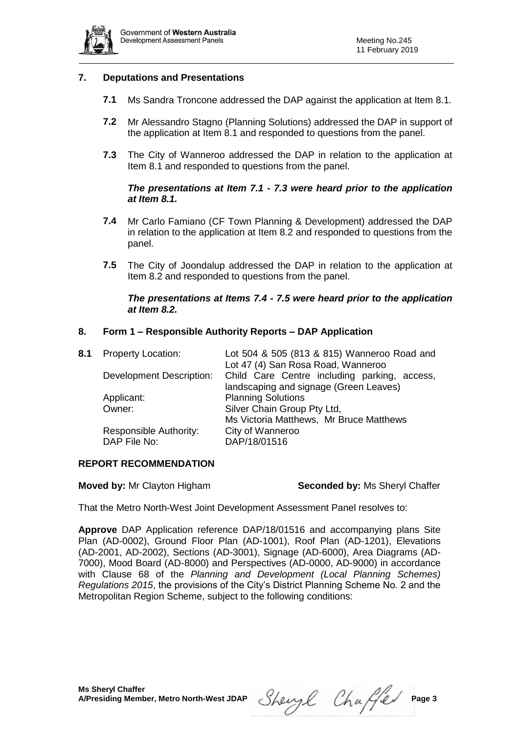

## **7. Deputations and Presentations**

- **7.1** Ms Sandra Troncone addressed the DAP against the application at Item 8.1.
- **7.2** Mr Alessandro Stagno (Planning Solutions) addressed the DAP in support of the application at Item 8.1 and responded to questions from the panel.
- **7.3** The City of Wanneroo addressed the DAP in relation to the application at Item 8.1 and responded to questions from the panel.

### *The presentations at Item 7.1 - 7.3 were heard prior to the application at Item 8.1.*

- **7.4** Mr Carlo Famiano (CF Town Planning & Development) addressed the DAP in relation to the application at Item 8.2 and responded to questions from the panel.
- **7.5** The City of Joondalup addressed the DAP in relation to the application at Item 8.2 and responded to questions from the panel.

#### *The presentations at Items 7.4 - 7.5 were heard prior to the application at Item 8.2.*

### **8. Form 1 – Responsible Authority Reports – DAP Application**

| 8.1 | <b>Property Location:</b> | Lot 504 & 505 (813 & 815) Wanneroo Road and<br>Lot 47 (4) San Rosa Road, Wanneroo |  |
|-----|---------------------------|-----------------------------------------------------------------------------------|--|
|     | Development Description:  | Child Care Centre including parking, access,                                      |  |
|     |                           | landscaping and signage (Green Leaves)                                            |  |
|     | Applicant:                | <b>Planning Solutions</b>                                                         |  |
|     | Owner:                    | Silver Chain Group Pty Ltd,                                                       |  |
|     |                           | Ms Victoria Matthews, Mr Bruce Matthews                                           |  |
|     | Responsible Authority:    | City of Wanneroo                                                                  |  |
|     | DAP File No:              | DAP/18/01516                                                                      |  |
|     |                           |                                                                                   |  |

#### **REPORT RECOMMENDATION**

#### **Moved by:** Mr Clayton Higham **Seconded by:** Ms Sheryl Chaffer

That the Metro North-West Joint Development Assessment Panel resolves to:

**Approve** DAP Application reference DAP/18/01516 and accompanying plans Site Plan (AD-0002), Ground Floor Plan (AD-1001), Roof Plan (AD-1201), Elevations (AD-2001, AD-2002), Sections (AD-3001), Signage (AD-6000), Area Diagrams (AD-7000), Mood Board (AD-8000) and Perspectives (AD-0000, AD-9000) in accordance with Clause 68 of the *Planning and Development (Local Planning Schemes) Regulations 2015*, the provisions of the City's District Planning Scheme No. 2 and the Metropolitan Region Scheme, subject to the following conditions:

Sheryl Chaffer Page 3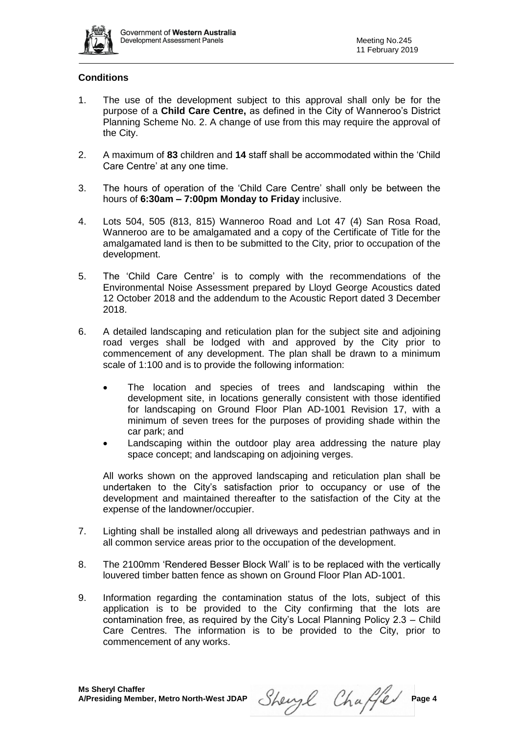

# **Conditions**

- 1. The use of the development subject to this approval shall only be for the purpose of a **Child Care Centre,** as defined in the City of Wanneroo's District Planning Scheme No. 2. A change of use from this may require the approval of the City.
- 2. A maximum of **83** children and **14** staff shall be accommodated within the 'Child Care Centre' at any one time.
- 3. The hours of operation of the 'Child Care Centre' shall only be between the hours of **6:30am – 7:00pm Monday to Friday** inclusive.
- 4. Lots 504, 505 (813, 815) Wanneroo Road and Lot 47 (4) San Rosa Road, Wanneroo are to be amalgamated and a copy of the Certificate of Title for the amalgamated land is then to be submitted to the City, prior to occupation of the development.
- 5. The 'Child Care Centre' is to comply with the recommendations of the Environmental Noise Assessment prepared by Lloyd George Acoustics dated 12 October 2018 and the addendum to the Acoustic Report dated 3 December 2018.
- 6. A detailed landscaping and reticulation plan for the subject site and adjoining road verges shall be lodged with and approved by the City prior to commencement of any development. The plan shall be drawn to a minimum scale of 1:100 and is to provide the following information:
	- The location and species of trees and landscaping within the development site, in locations generally consistent with those identified for landscaping on Ground Floor Plan AD-1001 Revision 17, with a minimum of seven trees for the purposes of providing shade within the car park; and
	- Landscaping within the outdoor play area addressing the nature play space concept; and landscaping on adjoining verges.

All works shown on the approved landscaping and reticulation plan shall be undertaken to the City's satisfaction prior to occupancy or use of the development and maintained thereafter to the satisfaction of the City at the expense of the landowner/occupier.

- 7. Lighting shall be installed along all driveways and pedestrian pathways and in all common service areas prior to the occupation of the development.
- 8. The 2100mm 'Rendered Besser Block Wall' is to be replaced with the vertically louvered timber batten fence as shown on Ground Floor Plan AD-1001.
- 9. Information regarding the contamination status of the lots, subject of this application is to be provided to the City confirming that the lots are contamination free, as required by the City's Local Planning Policy 2.3 – Child Care Centres. The information is to be provided to the City, prior to commencement of any works.

Sheryl Chaffer Page 4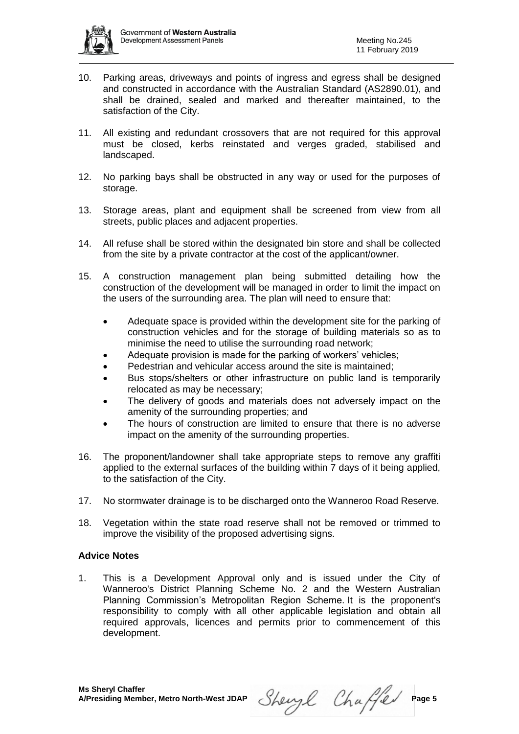

- 10. Parking areas, driveways and points of ingress and egress shall be designed and constructed in accordance with the Australian Standard (AS2890.01), and shall be drained, sealed and marked and thereafter maintained, to the satisfaction of the City.
- 11. All existing and redundant crossovers that are not required for this approval must be closed, kerbs reinstated and verges graded, stabilised and landscaped.
- 12. No parking bays shall be obstructed in any way or used for the purposes of storage.
- 13. Storage areas, plant and equipment shall be screened from view from all streets, public places and adjacent properties.
- 14. All refuse shall be stored within the designated bin store and shall be collected from the site by a private contractor at the cost of the applicant/owner.
- 15. A construction management plan being submitted detailing how the construction of the development will be managed in order to limit the impact on the users of the surrounding area. The plan will need to ensure that:
	- Adequate space is provided within the development site for the parking of construction vehicles and for the storage of building materials so as to minimise the need to utilise the surrounding road network;
	- Adequate provision is made for the parking of workers' vehicles;
	- Pedestrian and vehicular access around the site is maintained;
	- Bus stops/shelters or other infrastructure on public land is temporarily relocated as may be necessary;
	- The delivery of goods and materials does not adversely impact on the amenity of the surrounding properties; and
	- The hours of construction are limited to ensure that there is no adverse impact on the amenity of the surrounding properties.
- 16. The proponent/landowner shall take appropriate steps to remove any graffiti applied to the external surfaces of the building within 7 days of it being applied, to the satisfaction of the City.
- 17. No stormwater drainage is to be discharged onto the Wanneroo Road Reserve.
- 18. Vegetation within the state road reserve shall not be removed or trimmed to improve the visibility of the proposed advertising signs.

# **Advice Notes**

1. This is a Development Approval only and is issued under the City of Wanneroo's District Planning Scheme No. 2 and the Western Australian Planning Commission's Metropolitan Region Scheme. It is the proponent's responsibility to comply with all other applicable legislation and obtain all required approvals, licences and permits prior to commencement of this development.

Sheryl Chaffer Page 5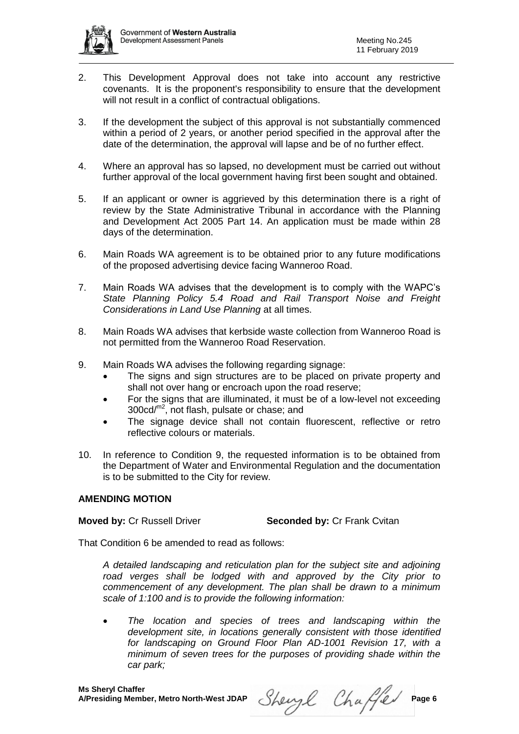

- 2. This Development Approval does not take into account any restrictive covenants. It is the proponent's responsibility to ensure that the development will not result in a conflict of contractual obligations.
- 3. If the development the subject of this approval is not substantially commenced within a period of 2 years, or another period specified in the approval after the date of the determination, the approval will lapse and be of no further effect.
- 4. Where an approval has so lapsed, no development must be carried out without further approval of the local government having first been sought and obtained.
- 5. If an applicant or owner is aggrieved by this determination there is a right of review by the State Administrative Tribunal in accordance with the Planning and Development Act 2005 Part 14. An application must be made within 28 days of the determination.
- 6. Main Roads WA agreement is to be obtained prior to any future modifications of the proposed advertising device facing Wanneroo Road.
- 7. Main Roads WA advises that the development is to comply with the WAPC's *State Planning Policy 5.4 Road and Rail Transport Noise and Freight Considerations in Land Use Planning* at all times.
- 8. Main Roads WA advises that kerbside waste collection from Wanneroo Road is not permitted from the Wanneroo Road Reservation.
- 9. Main Roads WA advises the following regarding signage:
	- The signs and sign structures are to be placed on private property and shall not over hang or encroach upon the road reserve;
	- For the signs that are illuminated, it must be of a low-level not exceeding 300cd/m2, not flash, pulsate or chase; and
	- The signage device shall not contain fluorescent, reflective or retro reflective colours or materials.
- 10. In reference to Condition 9, the requested information is to be obtained from the Department of Water and Environmental Regulation and the documentation is to be submitted to the City for review.

#### **AMENDING MOTION**

**Moved by: Cr Russell Driver <b>Seconded by: Cr Frank Cvitan** 

That Condition 6 be amended to read as follows:

*A detailed landscaping and reticulation plan for the subject site and adjoining*  road verges shall be lodged with and approved by the City prior to *commencement of any development. The plan shall be drawn to a minimum scale of 1:100 and is to provide the following information:*

 *The location and species of trees and landscaping within the development site, in locations generally consistent with those identified for landscaping on Ground Floor Plan AD-1001 Revision 17, with a minimum of seven trees for the purposes of providing shade within the car park;* 

Sheryl Chaffer Page 6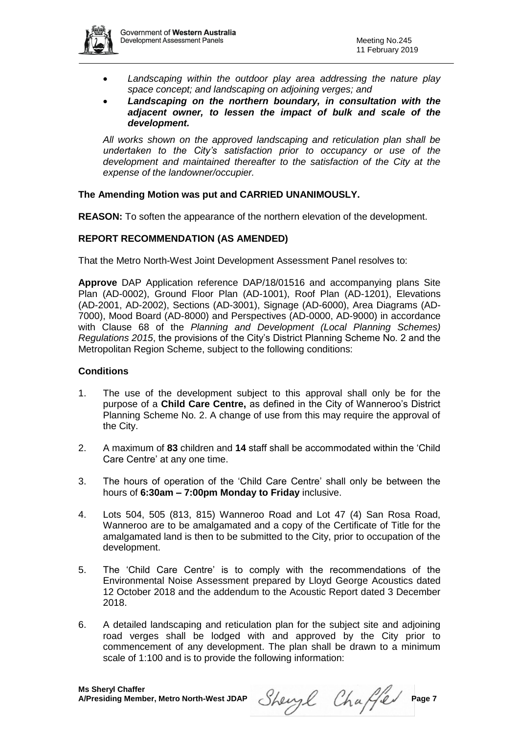

- *Landscaping within the outdoor play area addressing the nature play space concept; and landscaping on adjoining verges; and*
- *Landscaping on the northern boundary, in consultation with the adjacent owner, to lessen the impact of bulk and scale of the development.*

*All works shown on the approved landscaping and reticulation plan shall be undertaken to the City's satisfaction prior to occupancy or use of the*  development and maintained thereafter to the satisfaction of the City at the *expense of the landowner/occupier.*

# **The Amending Motion was put and CARRIED UNANIMOUSLY.**

**REASON:** To soften the appearance of the northern elevation of the development.

### **REPORT RECOMMENDATION (AS AMENDED)**

That the Metro North-West Joint Development Assessment Panel resolves to:

**Approve** DAP Application reference DAP/18/01516 and accompanying plans Site Plan (AD-0002), Ground Floor Plan (AD-1001), Roof Plan (AD-1201), Elevations (AD-2001, AD-2002), Sections (AD-3001), Signage (AD-6000), Area Diagrams (AD-7000), Mood Board (AD-8000) and Perspectives (AD-0000, AD-9000) in accordance with Clause 68 of the *Planning and Development (Local Planning Schemes) Regulations 2015*, the provisions of the City's District Planning Scheme No. 2 and the Metropolitan Region Scheme, subject to the following conditions:

#### **Conditions**

- 1. The use of the development subject to this approval shall only be for the purpose of a **Child Care Centre,** as defined in the City of Wanneroo's District Planning Scheme No. 2. A change of use from this may require the approval of the City.
- 2. A maximum of **83** children and **14** staff shall be accommodated within the 'Child Care Centre' at any one time.
- 3. The hours of operation of the 'Child Care Centre' shall only be between the hours of **6:30am – 7:00pm Monday to Friday** inclusive.
- 4. Lots 504, 505 (813, 815) Wanneroo Road and Lot 47 (4) San Rosa Road, Wanneroo are to be amalgamated and a copy of the Certificate of Title for the amalgamated land is then to be submitted to the City, prior to occupation of the development.
- 5. The 'Child Care Centre' is to comply with the recommendations of the Environmental Noise Assessment prepared by Lloyd George Acoustics dated 12 October 2018 and the addendum to the Acoustic Report dated 3 December 2018.
- 6. A detailed landscaping and reticulation plan for the subject site and adjoining road verges shall be lodged with and approved by the City prior to commencement of any development. The plan shall be drawn to a minimum scale of 1:100 and is to provide the following information:

Sheryl Chaffer Page 7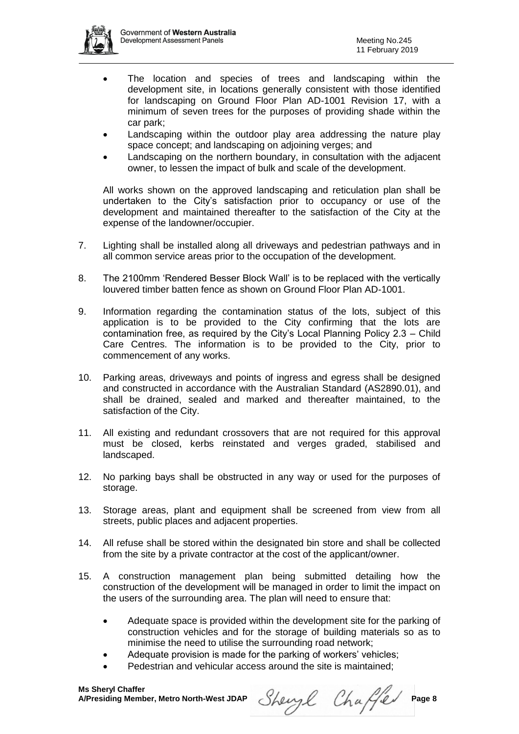- The location and species of trees and landscaping within the development site, in locations generally consistent with those identified for landscaping on Ground Floor Plan AD-1001 Revision 17, with a minimum of seven trees for the purposes of providing shade within the car park;
- Landscaping within the outdoor play area addressing the nature play space concept; and landscaping on adjoining verges; and
- Landscaping on the northern boundary, in consultation with the adjacent owner, to lessen the impact of bulk and scale of the development.

All works shown on the approved landscaping and reticulation plan shall be undertaken to the City's satisfaction prior to occupancy or use of the development and maintained thereafter to the satisfaction of the City at the expense of the landowner/occupier.

- 7. Lighting shall be installed along all driveways and pedestrian pathways and in all common service areas prior to the occupation of the development.
- 8. The 2100mm 'Rendered Besser Block Wall' is to be replaced with the vertically louvered timber batten fence as shown on Ground Floor Plan AD-1001.
- 9. Information regarding the contamination status of the lots, subject of this application is to be provided to the City confirming that the lots are contamination free, as required by the City's Local Planning Policy 2.3 – Child Care Centres. The information is to be provided to the City, prior to commencement of any works.
- 10. Parking areas, driveways and points of ingress and egress shall be designed and constructed in accordance with the Australian Standard (AS2890.01), and shall be drained, sealed and marked and thereafter maintained, to the satisfaction of the City.
- 11. All existing and redundant crossovers that are not required for this approval must be closed, kerbs reinstated and verges graded, stabilised and landscaped.
- 12. No parking bays shall be obstructed in any way or used for the purposes of storage.
- 13. Storage areas, plant and equipment shall be screened from view from all streets, public places and adjacent properties.
- 14. All refuse shall be stored within the designated bin store and shall be collected from the site by a private contractor at the cost of the applicant/owner.
- 15. A construction management plan being submitted detailing how the construction of the development will be managed in order to limit the impact on the users of the surrounding area. The plan will need to ensure that:
	- Adequate space is provided within the development site for the parking of construction vehicles and for the storage of building materials so as to minimise the need to utilise the surrounding road network;
	- Adequate provision is made for the parking of workers' vehicles;
	- Pedestrian and vehicular access around the site is maintained;

 $Shewyl$  Chaffed Page 8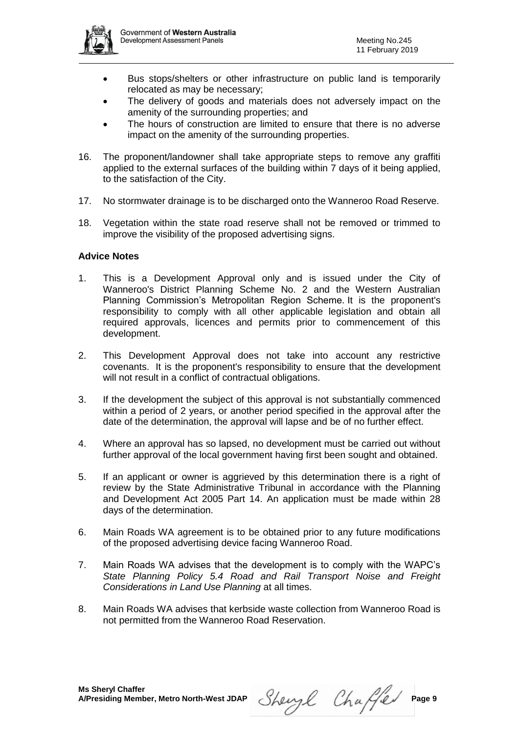

- Bus stops/shelters or other infrastructure on public land is temporarily relocated as may be necessary;
- The delivery of goods and materials does not adversely impact on the amenity of the surrounding properties; and
- The hours of construction are limited to ensure that there is no adverse impact on the amenity of the surrounding properties.
- 16. The proponent/landowner shall take appropriate steps to remove any graffiti applied to the external surfaces of the building within 7 days of it being applied, to the satisfaction of the City.
- 17. No stormwater drainage is to be discharged onto the Wanneroo Road Reserve.
- 18. Vegetation within the state road reserve shall not be removed or trimmed to improve the visibility of the proposed advertising signs.

#### **Advice Notes**

- 1. This is a Development Approval only and is issued under the City of Wanneroo's District Planning Scheme No. 2 and the Western Australian Planning Commission's Metropolitan Region Scheme. It is the proponent's responsibility to comply with all other applicable legislation and obtain all required approvals, licences and permits prior to commencement of this development.
- 2. This Development Approval does not take into account any restrictive covenants. It is the proponent's responsibility to ensure that the development will not result in a conflict of contractual obligations.
- 3. If the development the subject of this approval is not substantially commenced within a period of 2 years, or another period specified in the approval after the date of the determination, the approval will lapse and be of no further effect.
- 4. Where an approval has so lapsed, no development must be carried out without further approval of the local government having first been sought and obtained.
- 5. If an applicant or owner is aggrieved by this determination there is a right of review by the State Administrative Tribunal in accordance with the Planning and Development Act 2005 Part 14. An application must be made within 28 days of the determination.
- 6. Main Roads WA agreement is to be obtained prior to any future modifications of the proposed advertising device facing Wanneroo Road.
- 7. Main Roads WA advises that the development is to comply with the WAPC's *State Planning Policy 5.4 Road and Rail Transport Noise and Freight Considerations in Land Use Planning* at all times.
- 8. Main Roads WA advises that kerbside waste collection from Wanneroo Road is not permitted from the Wanneroo Road Reservation.

Sheryl Chaffer Page 9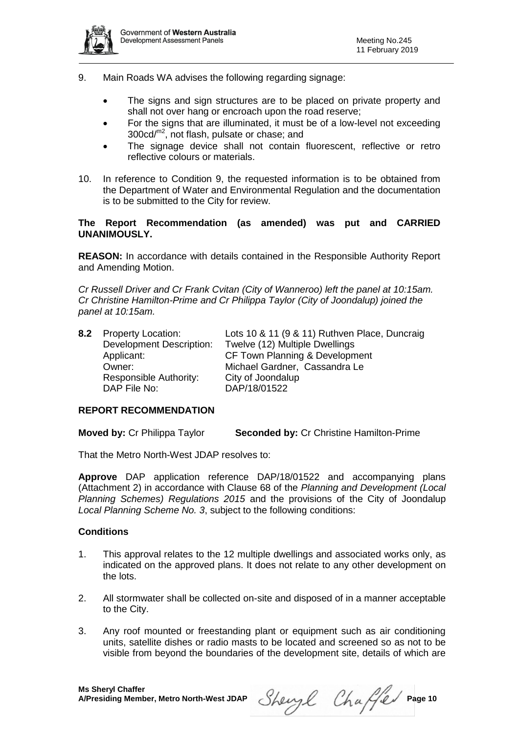

- 9. Main Roads WA advises the following regarding signage:
	- The signs and sign structures are to be placed on private property and shall not over hang or encroach upon the road reserve;
	- For the signs that are illuminated, it must be of a low-level not exceeding 300cd/m2, not flash, pulsate or chase; and
	- The signage device shall not contain fluorescent, reflective or retro reflective colours or materials.
- 10. In reference to Condition 9, the requested information is to be obtained from the Department of Water and Environmental Regulation and the documentation is to be submitted to the City for review.

### **The Report Recommendation (as amended) was put and CARRIED UNANIMOUSLY.**

**REASON:** In accordance with details contained in the Responsible Authority Report and Amending Motion.

*Cr Russell Driver and Cr Frank Cvitan (City of Wanneroo) left the panel at 10:15am. Cr Christine Hamilton-Prime and Cr Philippa Taylor (City of Joondalup) joined the panel at 10:15am.*

| 8.2 Property Location:          | Lots 10 & 11 (9 & 11) Ruthven Place, Duncraig |
|---------------------------------|-----------------------------------------------|
| <b>Development Description:</b> | Twelve (12) Multiple Dwellings                |
| Applicant:                      | CF Town Planning & Development                |
| Owner:                          | Michael Gardner, Cassandra Le                 |
| Responsible Authority:          | City of Joondalup                             |
| DAP File No:                    | DAP/18/01522                                  |
|                                 |                                               |

# **REPORT RECOMMENDATION**

**Moved by:** Cr Philippa Taylor **Seconded by:** Cr Christine Hamilton-Prime

That the Metro North-West JDAP resolves to:

**Approve** DAP application reference DAP/18/01522 and accompanying plans (Attachment 2) in accordance with Clause 68 of the *Planning and Development (Local Planning Schemes) Regulations 2015* and the provisions of the City of Joondalup *Local Planning Scheme No. 3*, subject to the following conditions:

#### **Conditions**

- 1. This approval relates to the 12 multiple dwellings and associated works only, as indicated on the approved plans. It does not relate to any other development on the lots.
- 2. All stormwater shall be collected on-site and disposed of in a manner acceptable to the City.
- 3. Any roof mounted or freestanding plant or equipment such as air conditioning units, satellite dishes or radio masts to be located and screened so as not to be visible from beyond the boundaries of the development site, details of which are

Sheryl Chaffer Page 10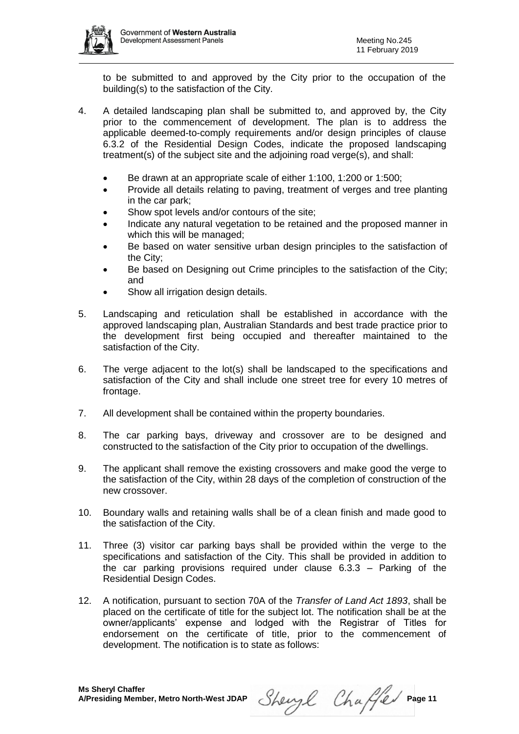

to be submitted to and approved by the City prior to the occupation of the building(s) to the satisfaction of the City.

- 4. A detailed landscaping plan shall be submitted to, and approved by, the City prior to the commencement of development. The plan is to address the applicable deemed-to-comply requirements and/or design principles of clause 6.3.2 of the Residential Design Codes, indicate the proposed landscaping treatment(s) of the subject site and the adjoining road verge(s), and shall:
	- Be drawn at an appropriate scale of either 1:100, 1:200 or 1:500;
	- Provide all details relating to paving, treatment of verges and tree planting in the car park;
	- Show spot levels and/or contours of the site;
	- Indicate any natural vegetation to be retained and the proposed manner in which this will be managed;
	- Be based on water sensitive urban design principles to the satisfaction of the City;
	- Be based on Designing out Crime principles to the satisfaction of the City; and
	- Show all irrigation design details.
- 5. Landscaping and reticulation shall be established in accordance with the approved landscaping plan, Australian Standards and best trade practice prior to the development first being occupied and thereafter maintained to the satisfaction of the City.
- 6. The verge adjacent to the lot(s) shall be landscaped to the specifications and satisfaction of the City and shall include one street tree for every 10 metres of frontage.
- 7. All development shall be contained within the property boundaries.
- 8. The car parking bays, driveway and crossover are to be designed and constructed to the satisfaction of the City prior to occupation of the dwellings.
- 9. The applicant shall remove the existing crossovers and make good the verge to the satisfaction of the City, within 28 days of the completion of construction of the new crossover.
- 10. Boundary walls and retaining walls shall be of a clean finish and made good to the satisfaction of the City.
- 11. Three (3) visitor car parking bays shall be provided within the verge to the specifications and satisfaction of the City. This shall be provided in addition to the car parking provisions required under clause 6.3.3 – Parking of the Residential Design Codes.
- 12. A notification, pursuant to section 70A of the *Transfer of Land Act 1893*, shall be placed on the certificate of title for the subject lot. The notification shall be at the owner/applicants' expense and lodged with the Registrar of Titles for endorsement on the certificate of title, prior to the commencement of development. The notification is to state as follows:

Sheryl Chaffer Page 11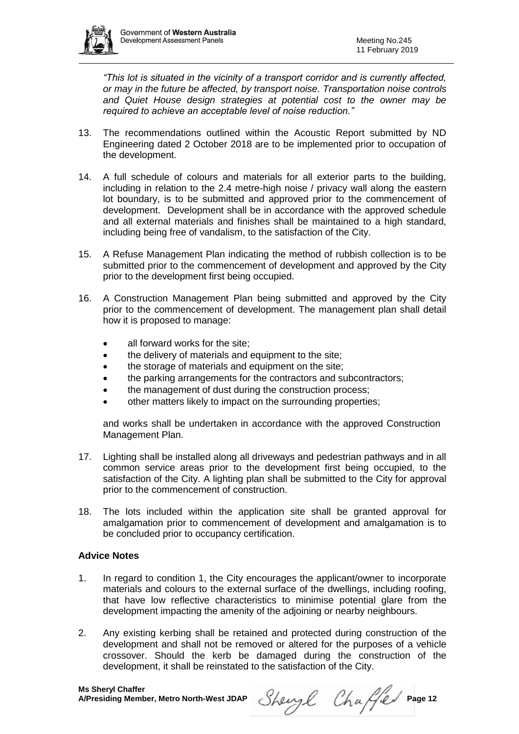

*"This lot is situated in the vicinity of a transport corridor and is currently affected, or may in the future be affected, by transport noise. Transportation noise controls and Quiet House design strategies at potential cost to the owner may be required to achieve an acceptable level of noise reduction."*

- 13. The recommendations outlined within the Acoustic Report submitted by ND Engineering dated 2 October 2018 are to be implemented prior to occupation of the development.
- 14. A full schedule of colours and materials for all exterior parts to the building, including in relation to the 2.4 metre-high noise / privacy wall along the eastern lot boundary, is to be submitted and approved prior to the commencement of development. Development shall be in accordance with the approved schedule and all external materials and finishes shall be maintained to a high standard, including being free of vandalism, to the satisfaction of the City.
- 15. A Refuse Management Plan indicating the method of rubbish collection is to be submitted prior to the commencement of development and approved by the City prior to the development first being occupied.
- 16. A Construction Management Plan being submitted and approved by the City prior to the commencement of development. The management plan shall detail how it is proposed to manage:
	- all forward works for the site;
	- the delivery of materials and equipment to the site;
	- the storage of materials and equipment on the site;
	- the parking arrangements for the contractors and subcontractors;
	- the management of dust during the construction process;
	- other matters likely to impact on the surrounding properties;

and works shall be undertaken in accordance with the approved Construction Management Plan.

- 17. Lighting shall be installed along all driveways and pedestrian pathways and in all common service areas prior to the development first being occupied, to the satisfaction of the City. A lighting plan shall be submitted to the City for approval prior to the commencement of construction.
- 18. The lots included within the application site shall be granted approval for amalgamation prior to commencement of development and amalgamation is to be concluded prior to occupancy certification.

# **Advice Notes**

- 1. In regard to condition 1, the City encourages the applicant/owner to incorporate materials and colours to the external surface of the dwellings, including roofing, that have low reflective characteristics to minimise potential glare from the development impacting the amenity of the adjoining or nearby neighbours.
- 2. Any existing kerbing shall be retained and protected during construction of the development and shall not be removed or altered for the purposes of a vehicle crossover. Should the kerb be damaged during the construction of the development, it shall be reinstated to the satisfaction of the City.

Sheryl Chaffer Page 12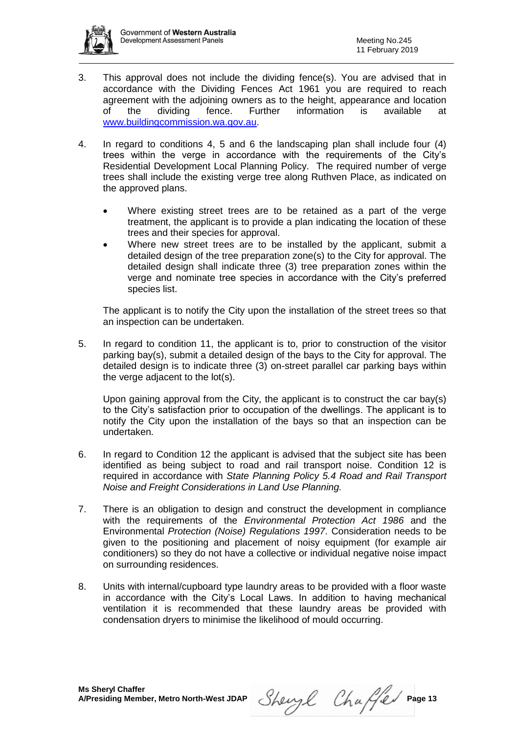

- 3. This approval does not include the dividing fence(s). You are advised that in accordance with the Dividing Fences Act 1961 you are required to reach agreement with the adjoining owners as to the height, appearance and location of the dividing fence. Further information is available at [www.buildingcommission.wa.gov.au.](http://www.buildingcommission.wa.gov.au/)
- 4. In regard to conditions 4, 5 and 6 the landscaping plan shall include four (4) trees within the verge in accordance with the requirements of the City's Residential Development Local Planning Policy. The required number of verge trees shall include the existing verge tree along Ruthven Place, as indicated on the approved plans.
	- Where existing street trees are to be retained as a part of the verge treatment, the applicant is to provide a plan indicating the location of these trees and their species for approval.
	- Where new street trees are to be installed by the applicant, submit a detailed design of the tree preparation zone(s) to the City for approval. The detailed design shall indicate three (3) tree preparation zones within the verge and nominate tree species in accordance with the City's preferred species list.

The applicant is to notify the City upon the installation of the street trees so that an inspection can be undertaken.

5. In regard to condition 11, the applicant is to, prior to construction of the visitor parking bay(s), submit a detailed design of the bays to the City for approval. The detailed design is to indicate three (3) on-street parallel car parking bays within the verge adjacent to the lot(s).

Upon gaining approval from the City, the applicant is to construct the car bay(s) to the City's satisfaction prior to occupation of the dwellings. The applicant is to notify the City upon the installation of the bays so that an inspection can be undertaken.

- 6. In regard to Condition 12 the applicant is advised that the subject site has been identified as being subject to road and rail transport noise. Condition 12 is required in accordance with *State Planning Policy 5.4 Road and Rail Transport Noise and Freight Considerations in Land Use Planning.*
- 7. There is an obligation to design and construct the development in compliance with the requirements of the *Environmental Protection Act 1986* and the Environmental *Protection (Noise) Regulations 1997*. Consideration needs to be given to the positioning and placement of noisy equipment (for example air conditioners) so they do not have a collective or individual negative noise impact on surrounding residences.
- 8. Units with internal/cupboard type laundry areas to be provided with a floor waste in accordance with the City's Local Laws. In addition to having mechanical ventilation it is recommended that these laundry areas be provided with condensation dryers to minimise the likelihood of mould occurring.

Sheryl Chaffer Page 13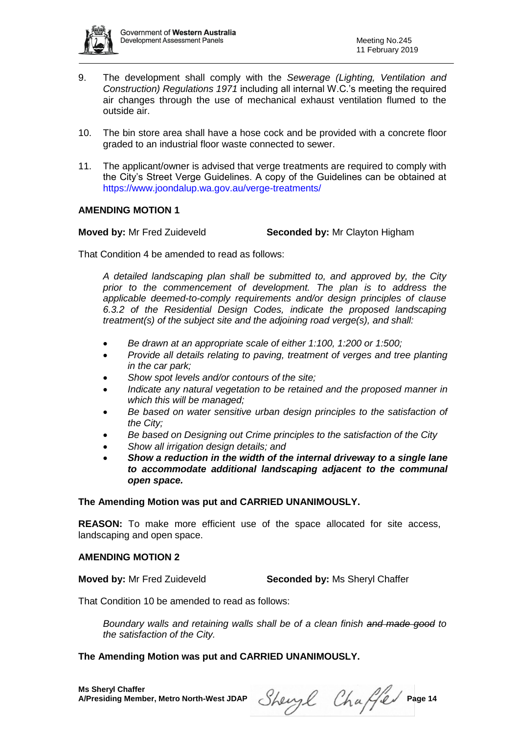

- 9. The development shall comply with the *Sewerage (Lighting, Ventilation and Construction) Regulations 1971* including all internal W.C.'s meeting the required air changes through the use of mechanical exhaust ventilation flumed to the outside air.
- 10. The bin store area shall have a hose cock and be provided with a concrete floor graded to an industrial floor waste connected to sewer.
- 11. The applicant/owner is advised that verge treatments are required to comply with the City's Street Verge Guidelines. A copy of the Guidelines can be obtained at <https://www.joondalup.wa.gov.au/verge-treatments/>

# **AMENDING MOTION 1**

**Moved by:** Mr Fred Zuideveld **Seconded by:** Mr Clayton Higham

That Condition 4 be amended to read as follows:

*A detailed landscaping plan shall be submitted to, and approved by, the City prior to the commencement of development. The plan is to address the applicable deemed-to-comply requirements and/or design principles of clause 6.3.2 of the Residential Design Codes, indicate the proposed landscaping treatment(s) of the subject site and the adjoining road verge(s), and shall:*

- *Be drawn at an appropriate scale of either 1:100, 1:200 or 1:500;*
- *Provide all details relating to paving, treatment of verges and tree planting in the car park;*
- *Show spot levels and/or contours of the site;*
- *Indicate any natural vegetation to be retained and the proposed manner in which this will be managed;*
- *Be based on water sensitive urban design principles to the satisfaction of the City;*
- *Be based on Designing out Crime principles to the satisfaction of the City*
- *Show all irrigation design details; and*
- *Show a reduction in the width of the internal driveway to a single lane to accommodate additional landscaping adjacent to the communal open space.*

# **The Amending Motion was put and CARRIED UNANIMOUSLY.**

**REASON:** To make more efficient use of the space allocated for site access, landscaping and open space.

# **AMENDING MOTION 2**

**Moved by:** Mr Fred Zuideveld **Seconded by:** Ms Sheryl Chaffer

That Condition 10 be amended to read as follows:

*Boundary walls and retaining walls shall be of a clean finish and made good to the satisfaction of the City.*

# **The Amending Motion was put and CARRIED UNANIMOUSLY.**

Sheryl Chaffer Page 14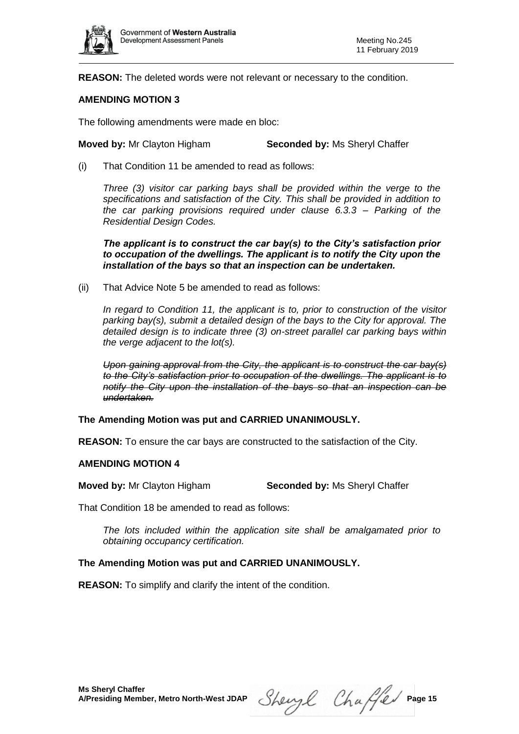

**REASON:** The deleted words were not relevant or necessary to the condition.

# **AMENDING MOTION 3**

The following amendments were made en bloc:

**Moved by:** Mr Clayton Higham **Seconded by:** Ms Sheryl Chaffer

(i) That Condition 11 be amended to read as follows:

*Three (3) visitor car parking bays shall be provided within the verge to the specifications and satisfaction of the City. This shall be provided in addition to the car parking provisions required under clause 6.3.3 – Parking of the Residential Design Codes.* 

*The applicant is to construct the car bay(s) to the City's satisfaction prior to occupation of the dwellings. The applicant is to notify the City upon the installation of the bays so that an inspection can be undertaken.*

(ii) That Advice Note 5 be amended to read as follows:

*In regard to Condition 11, the applicant is to, prior to construction of the visitor parking bay(s), submit a detailed design of the bays to the City for approval. The detailed design is to indicate three (3) on-street parallel car parking bays within the verge adjacent to the lot(s).*

*Upon gaining approval from the City, the applicant is to construct the car bay(s) to the City's satisfaction prior to occupation of the dwellings. The applicant is to notify the City upon the installation of the bays so that an inspection can be undertaken.*

**The Amending Motion was put and CARRIED UNANIMOUSLY.**

**REASON:** To ensure the car bays are constructed to the satisfaction of the City.

#### **AMENDING MOTION 4**

**Moved by:** Mr Clayton Higham **Seconded by:** Ms Sheryl Chaffer

That Condition 18 be amended to read as follows:

*The lots included within the application site shall be amalgamated prior to obtaining occupancy certification.*

# **The Amending Motion was put and CARRIED UNANIMOUSLY.**

**REASON:** To simplify and clarify the intent of the condition.

Sheryl Chaffer Page 15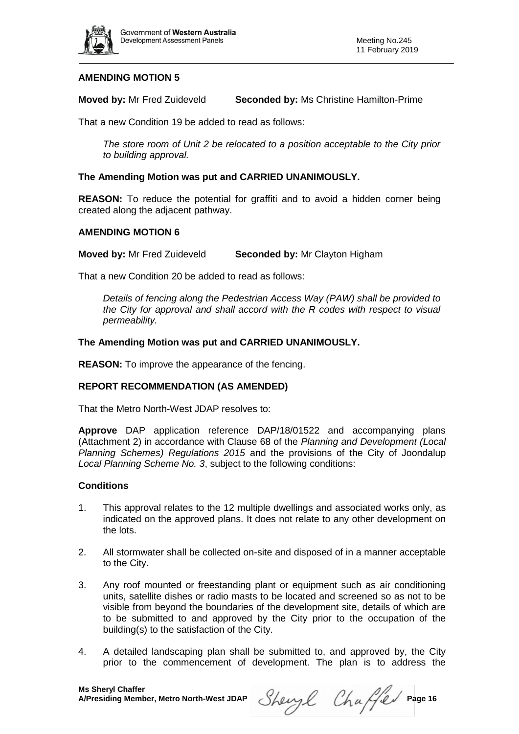

# **AMENDING MOTION 5**

**Moved by:** Mr Fred Zuideveld **Seconded by:** Ms Christine Hamilton-Prime

That a new Condition 19 be added to read as follows:

*The store room of Unit 2 be relocated to a position acceptable to the City prior to building approval.*

# **The Amending Motion was put and CARRIED UNANIMOUSLY.**

**REASON:** To reduce the potential for graffiti and to avoid a hidden corner being created along the adjacent pathway.

# **AMENDING MOTION 6**

**Moved by:** Mr Fred Zuideveld **Seconded by:** Mr Clayton Higham

That a new Condition 20 be added to read as follows:

*Details of fencing along the Pedestrian Access Way (PAW) shall be provided to the City for approval and shall accord with the R codes with respect to visual permeability.* 

### **The Amending Motion was put and CARRIED UNANIMOUSLY.**

**REASON:** To improve the appearance of the fencing.

# **REPORT RECOMMENDATION (AS AMENDED)**

That the Metro North-West JDAP resolves to:

**Approve** DAP application reference DAP/18/01522 and accompanying plans (Attachment 2) in accordance with Clause 68 of the *Planning and Development (Local Planning Schemes) Regulations 2015* and the provisions of the City of Joondalup *Local Planning Scheme No. 3*, subject to the following conditions:

# **Conditions**

- 1. This approval relates to the 12 multiple dwellings and associated works only, as indicated on the approved plans. It does not relate to any other development on the lots.
- 2. All stormwater shall be collected on-site and disposed of in a manner acceptable to the City.
- 3. Any roof mounted or freestanding plant or equipment such as air conditioning units, satellite dishes or radio masts to be located and screened so as not to be visible from beyond the boundaries of the development site, details of which are to be submitted to and approved by the City prior to the occupation of the building(s) to the satisfaction of the City.
- 4. A detailed landscaping plan shall be submitted to, and approved by, the City prior to the commencement of development. The plan is to address the

Sheryl Chaffer Page 16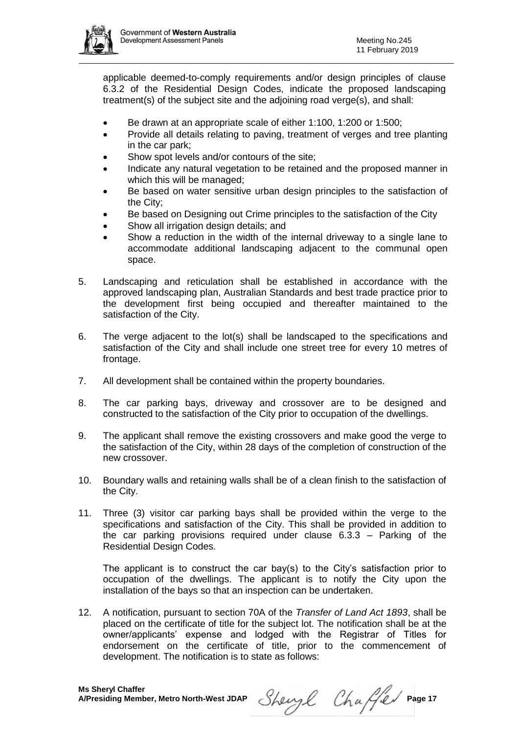

applicable deemed-to-comply requirements and/or design principles of clause 6.3.2 of the Residential Design Codes, indicate the proposed landscaping treatment(s) of the subject site and the adjoining road verge(s), and shall:

- Be drawn at an appropriate scale of either 1:100, 1:200 or 1:500;
- Provide all details relating to paving, treatment of verges and tree planting in the car park;
- Show spot levels and/or contours of the site;
- Indicate any natural vegetation to be retained and the proposed manner in which this will be managed;
- Be based on water sensitive urban design principles to the satisfaction of the City;
- Be based on Designing out Crime principles to the satisfaction of the City
- Show all irrigation design details; and
- Show a reduction in the width of the internal driveway to a single lane to accommodate additional landscaping adjacent to the communal open space.
- 5. Landscaping and reticulation shall be established in accordance with the approved landscaping plan, Australian Standards and best trade practice prior to the development first being occupied and thereafter maintained to the satisfaction of the City.
- 6. The verge adjacent to the lot(s) shall be landscaped to the specifications and satisfaction of the City and shall include one street tree for every 10 metres of frontage.
- 7. All development shall be contained within the property boundaries.
- 8. The car parking bays, driveway and crossover are to be designed and constructed to the satisfaction of the City prior to occupation of the dwellings.
- 9. The applicant shall remove the existing crossovers and make good the verge to the satisfaction of the City, within 28 days of the completion of construction of the new crossover.
- 10. Boundary walls and retaining walls shall be of a clean finish to the satisfaction of the City.
- 11. Three (3) visitor car parking bays shall be provided within the verge to the specifications and satisfaction of the City. This shall be provided in addition to the car parking provisions required under clause 6.3.3 – Parking of the Residential Design Codes.

The applicant is to construct the car bay(s) to the City's satisfaction prior to occupation of the dwellings. The applicant is to notify the City upon the installation of the bays so that an inspection can be undertaken.

12. A notification, pursuant to section 70A of the *Transfer of Land Act 1893*, shall be placed on the certificate of title for the subject lot. The notification shall be at the owner/applicants' expense and lodged with the Registrar of Titles for endorsement on the certificate of title, prior to the commencement of development. The notification is to state as follows:

Sheryl Chaffer Page 17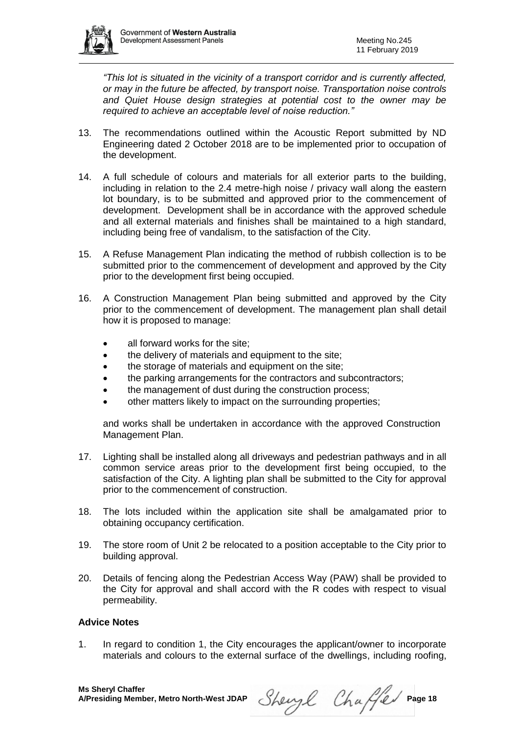

*"This lot is situated in the vicinity of a transport corridor and is currently affected, or may in the future be affected, by transport noise. Transportation noise controls and Quiet House design strategies at potential cost to the owner may be required to achieve an acceptable level of noise reduction."*

- 13. The recommendations outlined within the Acoustic Report submitted by ND Engineering dated 2 October 2018 are to be implemented prior to occupation of the development.
- 14. A full schedule of colours and materials for all exterior parts to the building, including in relation to the 2.4 metre-high noise / privacy wall along the eastern lot boundary, is to be submitted and approved prior to the commencement of development. Development shall be in accordance with the approved schedule and all external materials and finishes shall be maintained to a high standard, including being free of vandalism, to the satisfaction of the City.
- 15. A Refuse Management Plan indicating the method of rubbish collection is to be submitted prior to the commencement of development and approved by the City prior to the development first being occupied.
- 16. A Construction Management Plan being submitted and approved by the City prior to the commencement of development. The management plan shall detail how it is proposed to manage:
	- all forward works for the site;
	- the delivery of materials and equipment to the site;
	- the storage of materials and equipment on the site;
	- the parking arrangements for the contractors and subcontractors;
	- the management of dust during the construction process;
	- other matters likely to impact on the surrounding properties;

and works shall be undertaken in accordance with the approved Construction Management Plan.

- 17. Lighting shall be installed along all driveways and pedestrian pathways and in all common service areas prior to the development first being occupied, to the satisfaction of the City. A lighting plan shall be submitted to the City for approval prior to the commencement of construction.
- 18. The lots included within the application site shall be amalgamated prior to obtaining occupancy certification.
- 19. The store room of Unit 2 be relocated to a position acceptable to the City prior to building approval.
- 20. Details of fencing along the Pedestrian Access Way (PAW) shall be provided to the City for approval and shall accord with the R codes with respect to visual permeability.

# **Advice Notes**

1. In regard to condition 1, the City encourages the applicant/owner to incorporate materials and colours to the external surface of the dwellings, including roofing,

Sheryl Chaffer Page 18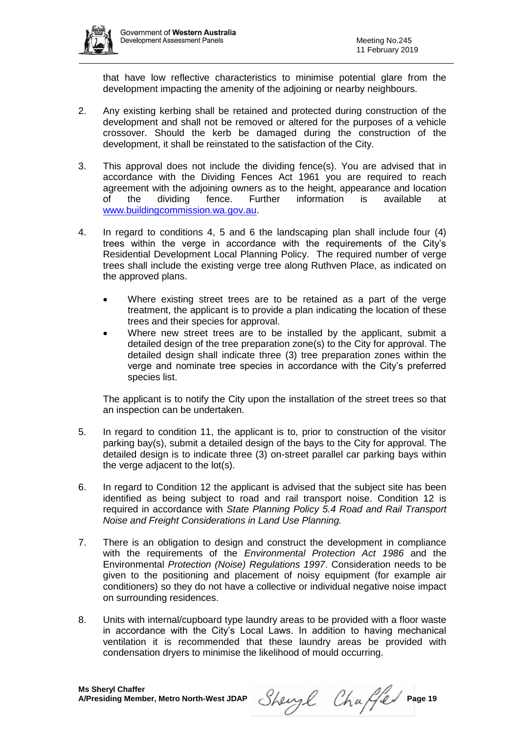

that have low reflective characteristics to minimise potential glare from the development impacting the amenity of the adjoining or nearby neighbours.

- 2. Any existing kerbing shall be retained and protected during construction of the development and shall not be removed or altered for the purposes of a vehicle crossover. Should the kerb be damaged during the construction of the development, it shall be reinstated to the satisfaction of the City.
- 3. This approval does not include the dividing fence(s). You are advised that in accordance with the Dividing Fences Act 1961 you are required to reach agreement with the adjoining owners as to the height, appearance and location of the dividing fence. Further information is available at [www.buildingcommission.wa.gov.au.](http://www.buildingcommission.wa.gov.au/)
- 4. In regard to conditions 4, 5 and 6 the landscaping plan shall include four (4) trees within the verge in accordance with the requirements of the City's Residential Development Local Planning Policy. The required number of verge trees shall include the existing verge tree along Ruthven Place, as indicated on the approved plans.
	- Where existing street trees are to be retained as a part of the verge treatment, the applicant is to provide a plan indicating the location of these trees and their species for approval.
	- Where new street trees are to be installed by the applicant, submit a detailed design of the tree preparation zone(s) to the City for approval. The detailed design shall indicate three (3) tree preparation zones within the verge and nominate tree species in accordance with the City's preferred species list.

The applicant is to notify the City upon the installation of the street trees so that an inspection can be undertaken.

- 5. In regard to condition 11, the applicant is to, prior to construction of the visitor parking bay(s), submit a detailed design of the bays to the City for approval. The detailed design is to indicate three (3) on-street parallel car parking bays within the verge adjacent to the lot(s).
- 6. In regard to Condition 12 the applicant is advised that the subject site has been identified as being subject to road and rail transport noise. Condition 12 is required in accordance with *State Planning Policy 5.4 Road and Rail Transport Noise and Freight Considerations in Land Use Planning.*
- 7. There is an obligation to design and construct the development in compliance with the requirements of the *Environmental Protection Act 1986* and the Environmental *Protection (Noise) Regulations 1997*. Consideration needs to be given to the positioning and placement of noisy equipment (for example air conditioners) so they do not have a collective or individual negative noise impact on surrounding residences.
- 8. Units with internal/cupboard type laundry areas to be provided with a floor waste in accordance with the City's Local Laws. In addition to having mechanical ventilation it is recommended that these laundry areas be provided with condensation dryers to minimise the likelihood of mould occurring.

Sheryl Chaffer Page 19